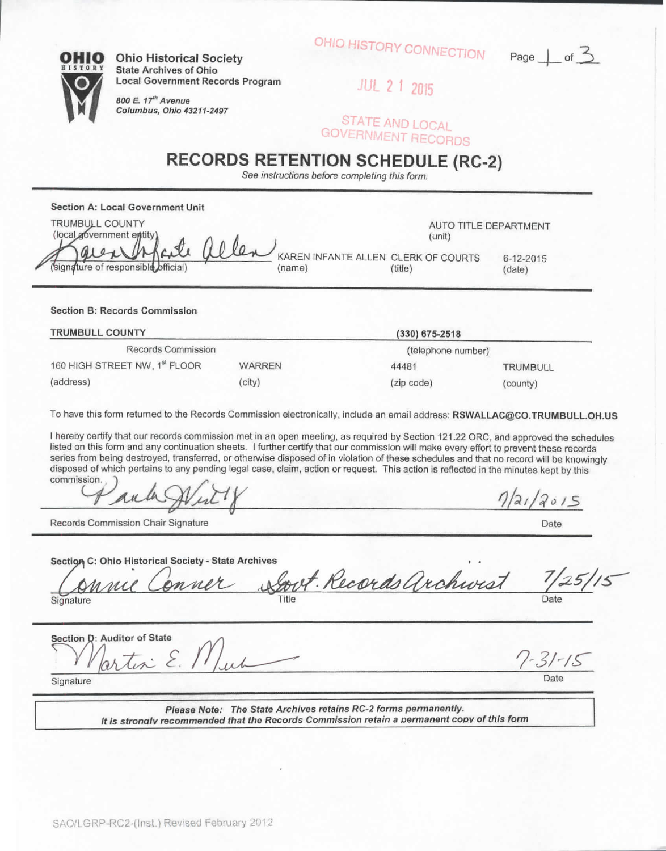|           | Title | Date |
|-----------|-------|------|
| Signature |       |      |

Section D: Auditor of State Signature Date

**Please Note: The State Archives retains RC-2 forms permanently. It is stronatv recommended that the Records Commission retain a aermanent coov of this form**

**Section B; Records Commission**

(signature of responsible official)

**Section A: Local Government Unit**

**TRUMBULL COUNTY** (local government entity

| <b>TRUMBULL COUNTY</b>        |               | $(330)$ 675-2518   |                 |  |
|-------------------------------|---------------|--------------------|-----------------|--|
| Records Commission            |               | (telephone number) |                 |  |
| 160 HIGH STREET NW, 1st FLOOR | <b>WARREN</b> | 44481              | <b>TRUMBULL</b> |  |
| (address)                     | (city)        | (zip code)         | (county)        |  |

To have this form returned to the Records Commission electronically, include an email address: RSWALLAC@CO.TRUMBULL.OH.US

I hereby certify that our records commission met in an open meeting, as required by Section 121.22 ORC, and approved the schedules listed on this form and any continuation sheets. I further certify that our commission will make every effort to prevent these records series from being destroyed, transferred, or otherwise disposed of in violation of these schedules and that no record will be knowingly disposed of which pertains to any pending legal case, claim, action or request. This action is reflected in the minutes kept by this commission.

**Section C: Ohio Historical Society - State Archives**

Records Commission Chair Signature

## **RECORDS RETENTION SCHEDULE (RC-2)** See instructions before completing this form.

**Ohio Historical Society State Archives of Ohio Local** Government **Records** Program

**800 E. if Avenue**

**Columbus, Ohio 43211-2497**

2 1 2015

STATE AND LOCAL **GOVERNMENT RECORDS** 

OHIO HISTORY CONNECTION



Date

 $31 - 15$ 

 $1/5$ 

 $7/21/2015$ 

AUTO TITLE DEPARTMENT

(unit)

KAREN INFANTE ALLEN CLERK OF COURTS 6-12-2015<br>(name) (title) (date) name) (title) (date)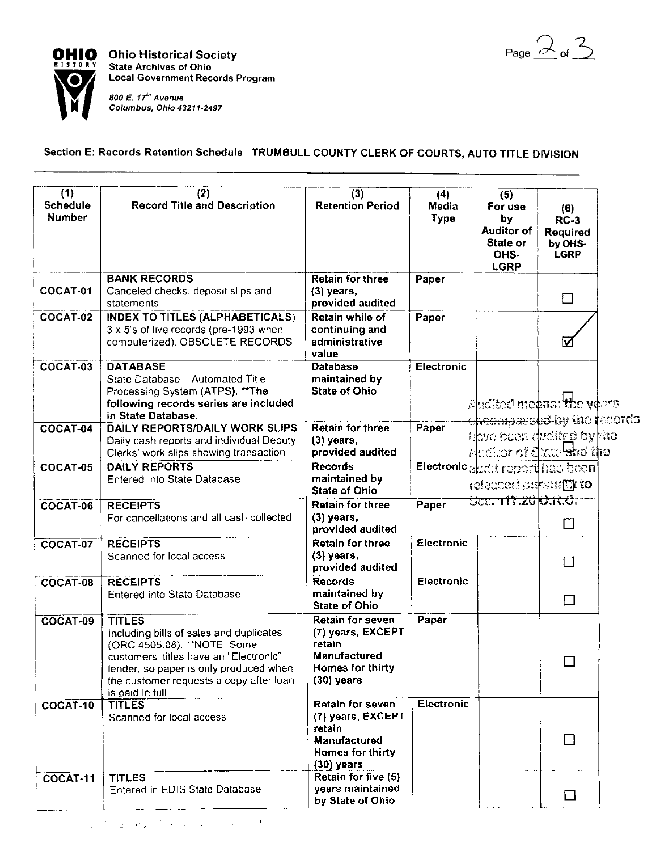Page  $\mathcal{Q}_{\text{of}}$   $\mathcal{Z}_{\text{}}$ 



**OHIO** Ohio Historical Society State Archives of Ohio **Local Government Records Program**

> **800 E. 17th Avenue Columbus, Ohio 43211-2497**

## Section E: Records Retention Schedule TRUMBULL COUNTY CLERK OF COURTS, AUTO TITLE DIVISION

| (1)<br>Schedule<br><b>Number</b> | (2)<br><b>Record Title and Description</b>                                                                                                                                                                                               | (3)<br><b>Retention Period</b>                                                                             | (4)<br>Media<br>Type | (5)<br>For use<br>by<br><b>Auditor of</b><br>State or<br>OHS-<br>LGRP         | (6)<br>$RC-3$<br>Required<br>by OHS-<br><b>LGRP</b> |  |
|----------------------------------|------------------------------------------------------------------------------------------------------------------------------------------------------------------------------------------------------------------------------------------|------------------------------------------------------------------------------------------------------------|----------------------|-------------------------------------------------------------------------------|-----------------------------------------------------|--|
| COCAT-01                         | <b>BANK RECORDS</b><br>Canceled checks, deposit slips and<br>statements                                                                                                                                                                  | <b>Retain for three</b><br>$(3)$ years,<br>provided audited                                                | Paper                |                                                                               | $\Box$                                              |  |
| COCAT-02                         | <b>INDEX TO TITLES (ALPHABETICALS)</b><br>3 x 5's of live records (pre-1993 when<br>computerized). OBSOLETE RECORDS                                                                                                                      | Retain while of<br>continuing and<br>administrative<br>value                                               | Paper                |                                                                               | ☑                                                   |  |
| COCAT-03                         | <b>DATABASE</b><br>State Database - Automated Title<br>Processing System (ATPS). ** The<br>following records series are included<br>in State Database.                                                                                   | <b>Database</b><br>maintained by<br><b>State of Ohio</b>                                                   | Electronic           | Audited means: the verrs<br><del>cheempassod by the r</del> ecords            |                                                     |  |
| COCAT-04                         | <b>DAILY REPORTS/DAILY WORK SLIPS</b><br>Daily cash reports and individual Deputy<br>Clerks' work slips showing transaction                                                                                                              | Retain for three<br>$(3)$ years,<br>provided audited                                                       | Paper                | bhvo been dudit <u>ee</u> by the<br>Auditor of State <del>la</del> nd the     |                                                     |  |
| COCAT-05                         | <b>DAILY REPORTS</b><br><b>Entered into State Database</b>                                                                                                                                                                               | <b>Records</b><br>maintained by<br><b>State of Ohio</b>                                                    |                      | Electronic aludit report has been<br>$\alpha$ and $\alpha$ is to to the books |                                                     |  |
| COCAT-06                         | <b>RECEIPTS</b><br>For cancellations and all cash collected                                                                                                                                                                              | <b>Retain for three</b><br>$(3)$ years,<br>provided audited                                                | Paper                | <u>Gee. 117.26 K).R.C.</u>                                                    | $\Box$                                              |  |
| COCAT-07                         | <b>RECEIPTS</b><br>Scanned for local access                                                                                                                                                                                              | Retain for three<br>$(3)$ years,<br>provided audited                                                       | <b>Electronic</b>    |                                                                               | $\Box$                                              |  |
| COCAT-08                         | <b>RECEIPTS</b><br><b>Entered into State Database</b>                                                                                                                                                                                    | <b>Records</b><br>maintained by<br><b>State of Ohio</b>                                                    | Electronic           |                                                                               | □                                                   |  |
| COCAT-09                         | <b>TITLES</b><br>Including bills of sales and duplicates<br>(ORC 4505.08). "NOTE: Some<br>customers' titles have an "Electronic"<br>lender, so paper is only produced when<br>the customer requests a copy after loan<br>is paid in full | Retain for seven<br>(7) years, EXCEPT<br>retain<br><b>Manufactured</b><br>Homes for thirty<br>$(30)$ years | Paper                |                                                                               |                                                     |  |
| COCAT-10                         | <b>TITLES</b><br>Scanned for local access                                                                                                                                                                                                | Retain for seven<br>(7) years, EXCEPT<br>retain<br>Manufactured<br>Homes for thirty<br>(30) years          | Electronic           |                                                                               | $\Box$                                              |  |
| COCAT-11                         | <b>TITLES</b><br>Entered in EDIS State Database                                                                                                                                                                                          | Retain for five (5)<br>years maintained<br>by State of Ohio                                                |                      |                                                                               | $\Box$                                              |  |